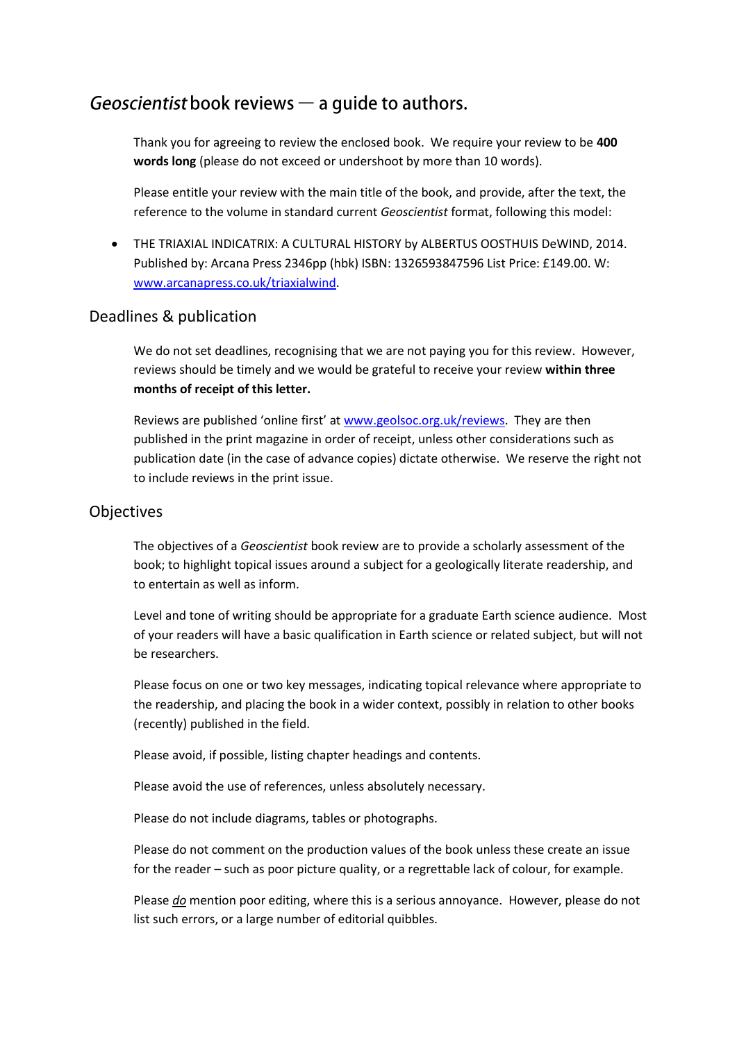# Geoscientist book reviews  $-$  a quide to authors.

Thank you for agreeing to review the enclosed book. We require your review to be **400 words long** (please do not exceed or undershoot by more than 10 words).

Please entitle your review with the main title of the book, and provide, after the text, the reference to the volume in standard current *Geoscientist* format, following this model:

 THE TRIAXIAL INDICATRIX: A CULTURAL HISTORY by ALBERTUS OOSTHUIS DeWIND, 2014. Published by: Arcana Press 2346pp (hbk) ISBN: 1326593847596 List Price: £149.00. W: [www.arcanapress.co.uk/triaxialwind.](http://www.arcanapress.co.uk/triaxialwind)

#### Deadlines & publication

We do not set deadlines, recognising that we are not paying you for this review. However, reviews should be timely and we would be grateful to receive your review **within three months of receipt of this letter.**

Reviews are published 'online first' at [www.geolsoc.org.uk/reviews.](http://www.geolsoc.org.uk/reviews) They are then published in the print magazine in order of receipt, unless other considerations such as publication date (in the case of advance copies) dictate otherwise. We reserve the right not to include reviews in the print issue.

#### Objectives

The objectives of a *Geoscientist* book review are to provide a scholarly assessment of the book; to highlight topical issues around a subject for a geologically literate readership, and to entertain as well as inform.

Level and tone of writing should be appropriate for a graduate Earth science audience. Most of your readers will have a basic qualification in Earth science or related subject, but will not be researchers.

Please focus on one or two key messages, indicating topical relevance where appropriate to the readership, and placing the book in a wider context, possibly in relation to other books (recently) published in the field.

Please avoid, if possible, listing chapter headings and contents.

Please avoid the use of references, unless absolutely necessary.

Please do not include diagrams, tables or photographs.

Please do not comment on the production values of the book unless these create an issue for the reader – such as poor picture quality, or a regrettable lack of colour, for example.

Please *do* mention poor editing, where this is a serious annoyance. However, please do not list such errors, or a large number of editorial quibbles.